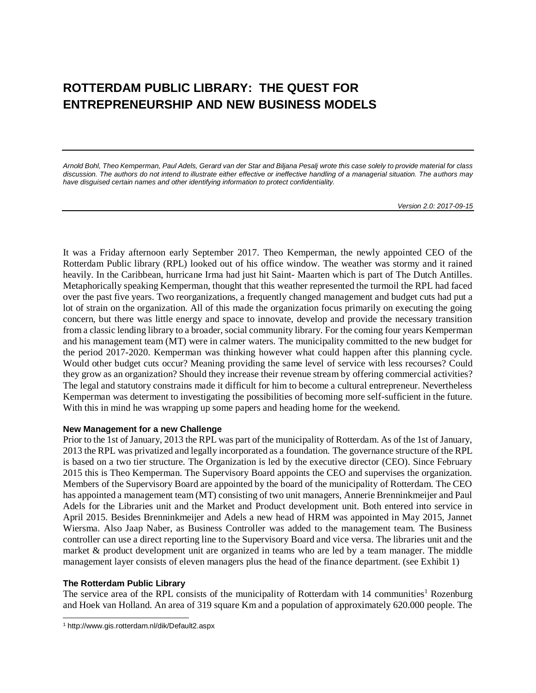# **ROTTERDAM PUBLIC LIBRARY: THE QUEST FOR ENTREPRENEURSHIP AND NEW BUSINESS MODELS**

*Arnold Bohl, Theo Kemperman, Paul Adels, Gerard van der Star and Biljana Pesalj wrote this case solely to provide material for class discussion. The authors do not intend to illustrate either effective or ineffective handling of a managerial situation. The authors may have disguised certain names and other identifying information to protect confidentiality.*

*Version 2.0: 2017-09-15*

It was a Friday afternoon early September 2017. Theo Kemperman, the newly appointed CEO of the Rotterdam Public library (RPL) looked out of his office window. The weather was stormy and it rained heavily. In the Caribbean, hurricane Irma had just hit Saint- Maarten which is part of The Dutch Antilles. Metaphorically speaking Kemperman, thought that this weather represented the turmoil the RPL had faced over the past five years. Two reorganizations, a frequently changed management and budget cuts had put a lot of strain on the organization. All of this made the organization focus primarily on executing the going concern, but there was little energy and space to innovate, develop and provide the necessary transition from a classic lending library to a broader, social community library. For the coming four years Kemperman and his management team (MT) were in calmer waters. The municipality committed to the new budget for the period 2017-2020. Kemperman was thinking however what could happen after this planning cycle. Would other budget cuts occur? Meaning providing the same level of service with less recourses? Could they grow as an organization? Should they increase their revenue stream by offering commercial activities? The legal and statutory constrains made it difficult for him to become a cultural entrepreneur. Nevertheless Kemperman was determent to investigating the possibilities of becoming more self-sufficient in the future. With this in mind he was wrapping up some papers and heading home for the weekend.

## **New Management for a new Challenge**

Prior to the 1st of January, 2013 the RPL was part of the municipality of Rotterdam. As of the 1st of January, 2013 the RPL was privatized and legally incorporated as a foundation. The governance structure of the RPL is based on a two tier structure. The Organization is led by the executive director (CEO). Since February 2015 this is Theo Kemperman. The Supervisory Board appoints the CEO and supervises the organization. Members of the Supervisory Board are appointed by the board of the municipality of Rotterdam. The CEO has appointed a management team (MT) consisting of two unit managers, Annerie Brenninkmeijer and Paul Adels for the Libraries unit and the Market and Product development unit. Both entered into service in April 2015. Besides Brenninkmeijer and Adels a new head of HRM was appointed in May 2015, Jannet Wiersma. Also Jaap Naber, as Business Controller was added to the management team. The Business controller can use a direct reporting line to the Supervisory Board and vice versa. The libraries unit and the market & product development unit are organized in teams who are led by a team manager. The middle management layer consists of eleven managers plus the head of the finance department. (see Exhibit 1)

## **The Rotterdam Public Library**

l

The service area of the RPL consists of the municipality of Rotterdam with 14 communities<sup>1</sup> Rozenburg and Hoek van Holland. An area of 319 square Km and a population of approximately 620.000 people. The

<sup>1</sup> <http://www.gis.rotterdam.nl/dik/Default2.aspx>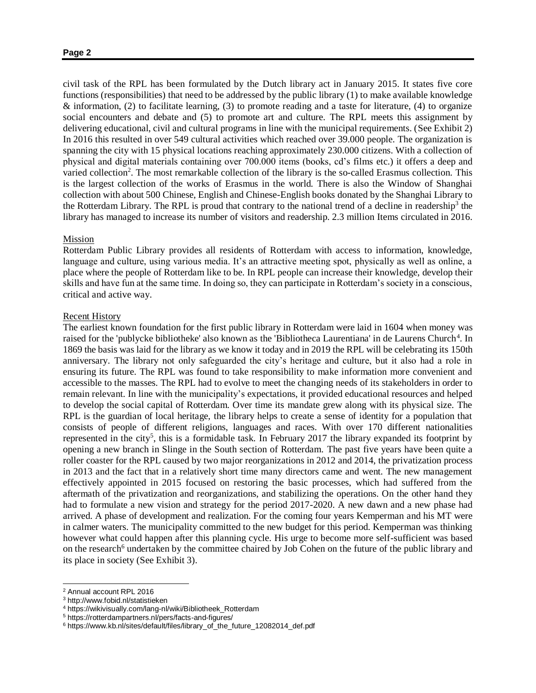civil task of the RPL has been formulated by the Dutch library act in January 2015. It states five core functions (responsibilities) that need to be addressed by the public library (1) to make available knowledge & information, (2) to facilitate learning, (3) to promote reading and a taste for literature, (4) to organize social encounters and debate and (5) to promote art and culture. The RPL meets this assignment by delivering educational, civil and cultural programs in line with the municipal requirements. (See Exhibit 2) In 2016 this resulted in over 549 cultural activities which reached over 39.000 people. The organization is spanning the city with 15 physical locations reaching approximately 230.000 citizens. With a collection of physical and digital materials containing over 700.000 items (books, cd's films etc.) it offers a deep and varied collection<sup>2</sup>. The most remarkable collection of the library is the so-called Erasmus collection. This is the largest collection of the works of Erasmus in the world. There is also the Window of Shanghai collection with about 500 Chinese, English and Chinese-English books donated by the Shanghai Library to the Rotterdam Library. The RPL is proud that contrary to the national trend of a decline in readership<sup>3</sup> the library has managed to increase its number of visitors and readership. 2.3 million Items circulated in 2016.

## Mission

Rotterdam Public Library provides all residents of Rotterdam with access to information, knowledge, language and culture, using various media. It's an attractive meeting spot, physically as well as online, a place where the people of Rotterdam like to be. In RPL people can increase their knowledge, develop their skills and have fun at the same time. In doing so, they can participate in Rotterdam's society in a conscious, critical and active way.

### Recent History

The earliest known foundation for the first public library in Rotterdam were laid in 1604 when money was raised for the 'publycke bibliotheke' also known as the 'Bibliotheca Laurentiana' in de Laurens Church<sup>4</sup>. In 1869 the basis was laid for the library as we know it today and in 2019 the RPL will be celebrating its 150th anniversary. The library not only safeguarded the city's heritage and culture, but it also had a role in ensuring its future. The RPL was found to take responsibility to make information more convenient and accessible to the masses. The RPL had to evolve to meet the changing needs of its stakeholders in order to remain relevant. In line with the municipality's expectations, it provided educational resources and helped to develop the social capital of Rotterdam. Over time its mandate grew along with its physical size. The RPL is the guardian of local heritage, the library helps to create a sense of identity for a population that consists of people of different religions, languages and races. With over 170 different nationalities represented in the city<sup>5</sup>, this is a formidable task. In February 2017 the library expanded its footprint by opening a new branch in Slinge in the South section of Rotterdam. The past five years have been quite a roller coaster for the RPL caused by two major reorganizations in 2012 and 2014, the privatization process in 2013 and the fact that in a relatively short time many directors came and went. The new management effectively appointed in 2015 focused on restoring the basic processes, which had suffered from the aftermath of the privatization and reorganizations, and stabilizing the operations. On the other hand they had to formulate a new vision and strategy for the period 2017-2020. A new dawn and a new phase had arrived. A phase of development and realization. For the coming four years Kemperman and his MT were in calmer waters. The municipality committed to the new budget for this period. Kemperman was thinking however what could happen after this planning cycle. His urge to become more self-sufficient was based on the research<sup>6</sup> undertaken by the committee chaired by Job Cohen on the future of the public library and its place in society (See Exhibit 3).

l

<sup>2</sup> Annual account RPL 2016

<sup>3</sup> http://www.fobid.nl/statistieken

<sup>4</sup> https://wikivisually.com/lang-nl/wiki/Bibliotheek\_Rotterdam

<sup>5</sup> https://rotterdampartners.nl/pers/facts-and-figures/

<sup>6</sup> https://www.kb.nl/sites/default/files/library\_of\_the\_future\_12082014\_def.pdf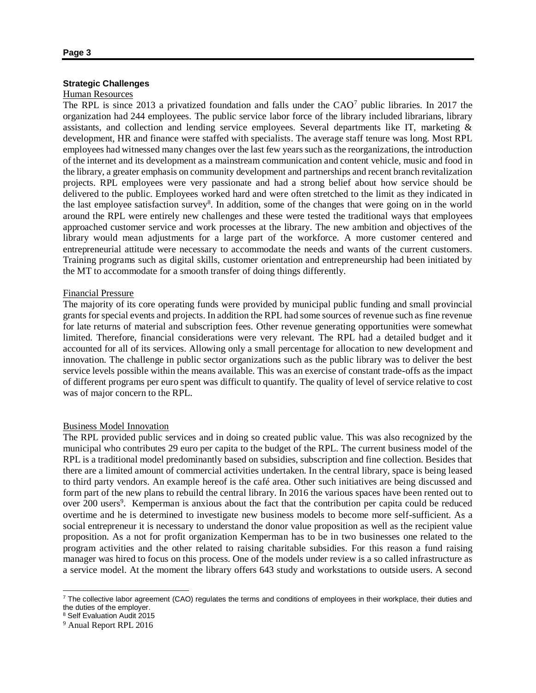## **Strategic Challenges**

## Human Resources

The RPL is since 2013 a privatized foundation and falls under the  $CAO<sup>7</sup>$  public libraries. In 2017 the organization had 244 employees. The public service labor force of the library included librarians, library assistants, and collection and lending service employees. Several departments like IT, marketing & development, HR and finance were staffed with specialists. The average staff tenure was long. Most RPL employees had witnessed many changes over the last few years such as the reorganizations, the introduction of the internet and its development as a mainstream communication and content vehicle, music and food in the library, a greater emphasis on community development and partnerships and recent branch revitalization projects. RPL employees were very passionate and had a strong belief about how service should be delivered to the public. Employees worked hard and were often stretched to the limit as they indicated in the last employee satisfaction survey<sup>8</sup>. In addition, some of the changes that were going on in the world around the RPL were entirely new challenges and these were tested the traditional ways that employees approached customer service and work processes at the library. The new ambition and objectives of the library would mean adjustments for a large part of the workforce. A more customer centered and entrepreneurial attitude were necessary to accommodate the needs and wants of the current customers. Training programs such as digital skills, customer orientation and entrepreneurship had been initiated by the MT to accommodate for a smooth transfer of doing things differently.

## Financial Pressure

The majority of its core operating funds were provided by municipal public funding and small provincial grants for special events and projects. In addition the RPL had some sources of revenue such as fine revenue for late returns of material and subscription fees. Other revenue generating opportunities were somewhat limited. Therefore, financial considerations were very relevant. The RPL had a detailed budget and it accounted for all of its services. Allowing only a small percentage for allocation to new development and innovation. The challenge in public sector organizations such as the public library was to deliver the best service levels possible within the means available. This was an exercise of constant trade-offs as the impact of different programs per euro spent was difficult to quantify. The quality of level of service relative to cost was of major concern to the RPL.

## Business Model Innovation

The RPL provided public services and in doing so created public value. This was also recognized by the municipal who contributes 29 euro per capita to the budget of the RPL. The current business model of the RPL is a traditional model predominantly based on subsidies, subscription and fine collection. Besides that there are a limited amount of commercial activities undertaken. In the central library, space is being leased to third party vendors. An example hereof is the café area. Other such initiatives are being discussed and form part of the new plans to rebuild the central library. In 2016 the various spaces have been rented out to over 200 users<sup>9</sup>. Kemperman is anxious about the fact that the contribution per capita could be reduced overtime and he is determined to investigate new business models to become more self-sufficient. As a social entrepreneur it is necessary to understand the donor value proposition as well as the recipient value proposition. As a not for profit organization Kemperman has to be in two businesses one related to the program activities and the other related to raising charitable subsidies. For this reason a fund raising manager was hired to focus on this process. One of the models under review is a so called infrastructure as a service model. At the moment the library offers 643 study and workstations to outside users. A second

 $\overline{\phantom{a}}$ 

<sup>&</sup>lt;sup>7</sup> The collective labor agreement (CAO) regulates the terms and conditions of employees in their workplace, their duties and the duties of the employer.

<sup>8</sup> Self Evaluation Audit 2015

<sup>9</sup> Anual Report RPL 2016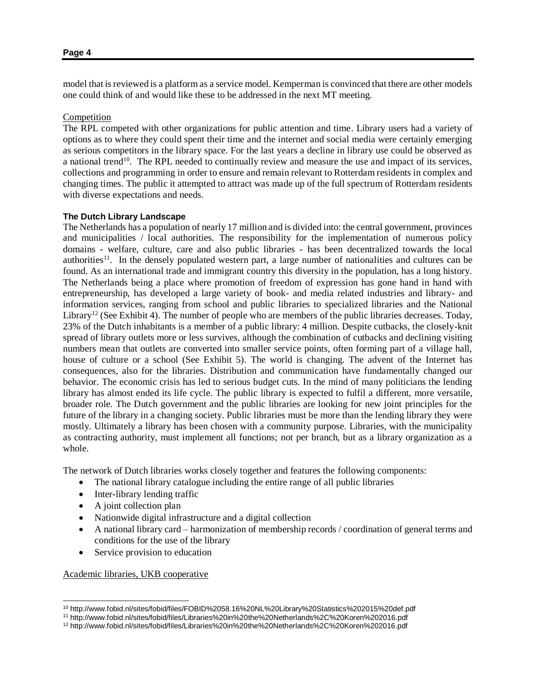model that is reviewed is a platform as a service model. Kemperman is convinced that there are other models one could think of and would like these to be addressed in the next MT meeting.

## Competition

The RPL competed with other organizations for public attention and time. Library users had a variety of options as to where they could spent their time and the internet and social media were certainly emerging as serious competitors in the library space. For the last years a decline in library use could be observed as a national trend<sup>10</sup>. The RPL needed to continually review and measure the use and impact of its services, collections and programming in order to ensure and remain relevant to Rotterdam residents in complex and changing times. The public it attempted to attract was made up of the full spectrum of Rotterdam residents with diverse expectations and needs.

## **The Dutch Library Landscape**

The Netherlands has a population of nearly 17 million and is divided into: the central government, provinces and municipalities / local authorities. The responsibility for the implementation of numerous policy domains - welfare, culture, care and also public libraries - has been decentralized towards the local authorities<sup>11</sup>. In the densely populated western part, a large number of nationalities and cultures can be found. As an international trade and immigrant country this diversity in the population, has a long history. The Netherlands being a place where promotion of freedom of expression has gone hand in hand with entrepreneurship, has developed a large variety of book- and media related industries and library- and information services, ranging from school and public libraries to specialized libraries and the National Library<sup>12</sup> (See Exhibit 4). The number of people who are members of the public libraries decreases. Today, 23% of the Dutch inhabitants is a member of a public library: 4 million. Despite cutbacks, the closely-knit spread of library outlets more or less survives, although the combination of cutbacks and declining visiting numbers mean that outlets are converted into smaller service points, often forming part of a village hall, house of culture or a school (See Exhibit 5). The world is changing. The advent of the Internet has consequences, also for the libraries. Distribution and communication have fundamentally changed our behavior. The economic crisis has led to serious budget cuts. In the mind of many politicians the lending library has almost ended its life cycle. The public library is expected to fulfil a different, more versatile, broader role. The Dutch government and the public libraries are looking for new joint principles for the future of the library in a changing society. Public libraries must be more than the lending library they were mostly. Ultimately a library has been chosen with a community purpose. Libraries, with the municipality as contracting authority, must implement all functions; not per branch, but as a library organization as a whole.

The network of Dutch libraries works closely together and features the following components:

- The national library catalogue including the entire range of all public libraries
- Inter-library lending traffic
- A joint collection plan
- Nationwide digital infrastructure and a digital collection
- A national library card harmonization of membership records / coordination of general terms and conditions for the use of the library
- Service provision to education

Academic libraries, UKB cooperative

l

<sup>10</sup> <http://www.fobid.nl/sites/fobid/files/FOBID%2058.16%20NL%20Library%20Statistics%202015%20def.pdf>

<sup>11</sup> <http://www.fobid.nl/sites/fobid/files/Libraries%20in%20the%20Netherlands%2C%20Koren%202016.pdf>

<sup>12</sup> http://www.fobid.nl/sites/fobid/files/Libraries%20in%20the%20Netherlands%2C%20Koren%202016.pdf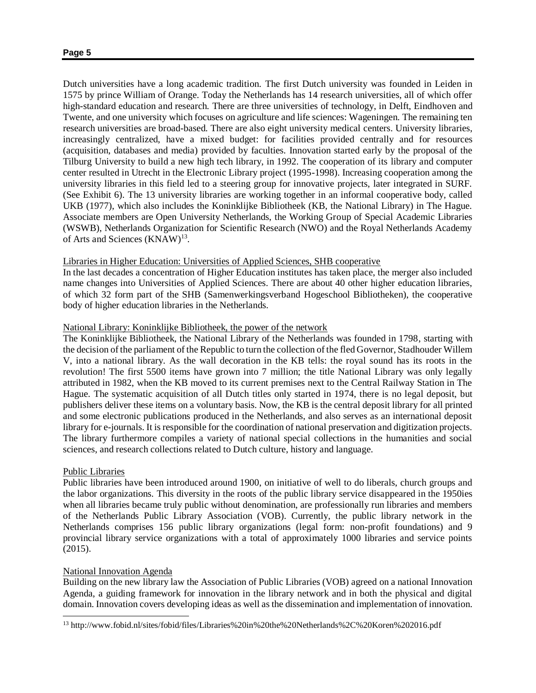Dutch universities have a long academic tradition. The first Dutch university was founded in Leiden in 1575 by prince William of Orange. Today the Netherlands has 14 research universities, all of which offer high-standard education and research. There are three universities of technology, in Delft, Eindhoven and Twente, and one university which focuses on agriculture and life sciences: Wageningen. The remaining ten research universities are broad-based. There are also eight university medical centers. University libraries, increasingly centralized, have a mixed budget: for facilities provided centrally and for resources (acquisition, databases and media) provided by faculties. Innovation started early by the proposal of the Tilburg University to build a new high tech library, in 1992. The cooperation of its library and computer center resulted in Utrecht in the Electronic Library project (1995-1998). Increasing cooperation among the university libraries in this field led to a steering group for innovative projects, later integrated in SURF. (See Exhibit 6). The 13 university libraries are working together in an informal cooperative body, called UKB (1977), which also includes the Koninklijke Bibliotheek (KB, the National Library) in The Hague. Associate members are Open University Netherlands, the Working Group of Special Academic Libraries (WSWB), Netherlands Organization for Scientific Research (NWO) and the Royal Netherlands Academy of Arts and Sciences (KNAW)<sup>13</sup>.

## Libraries in Higher Education: Universities of Applied Sciences, SHB cooperative

In the last decades a concentration of Higher Education institutes has taken place, the merger also included name changes into Universities of Applied Sciences. There are about 40 other higher education libraries, of which 32 form part of the SHB (Samenwerkingsverband Hogeschool Bibliotheken), the cooperative body of higher education libraries in the Netherlands.

## National Library: Koninklijke Bibliotheek, the power of the network

The Koninklijke Bibliotheek, the National Library of the Netherlands was founded in 1798, starting with the decision of the parliament of the Republic to turn the collection of the fled Governor, Stadhouder Willem V, into a national library. As the wall decoration in the KB tells: the royal sound has its roots in the revolution! The first 5500 items have grown into 7 million; the title National Library was only legally attributed in 1982, when the KB moved to its current premises next to the Central Railway Station in The Hague. The systematic acquisition of all Dutch titles only started in 1974, there is no legal deposit, but publishers deliver these items on a voluntary basis. Now, the KB is the central deposit library for all printed and some electronic publications produced in the Netherlands, and also serves as an international deposit library for e-journals. It is responsible for the coordination of national preservation and digitization projects. The library furthermore compiles a variety of national special collections in the humanities and social sciences, and research collections related to Dutch culture, history and language.

## Public Libraries

 $\overline{\phantom{a}}$ 

Public libraries have been introduced around 1900, on initiative of well to do liberals, church groups and the labor organizations. This diversity in the roots of the public library service disappeared in the 1950ies when all libraries became truly public without denomination, are professionally run libraries and members of the Netherlands Public Library Association (VOB). Currently, the public library network in the Netherlands comprises 156 public library organizations (legal form: non-profit foundations) and 9 provincial library service organizations with a total of approximately 1000 libraries and service points (2015).

## National Innovation Agenda

Building on the new library law the Association of Public Libraries (VOB) agreed on a national Innovation Agenda, a guiding framework for innovation in the library network and in both the physical and digital domain. Innovation covers developing ideas as well as the dissemination and implementation of innovation.

<sup>13</sup> http://www.fobid.nl/sites/fobid/files/Libraries%20in%20the%20Netherlands%2C%20Koren%202016.pdf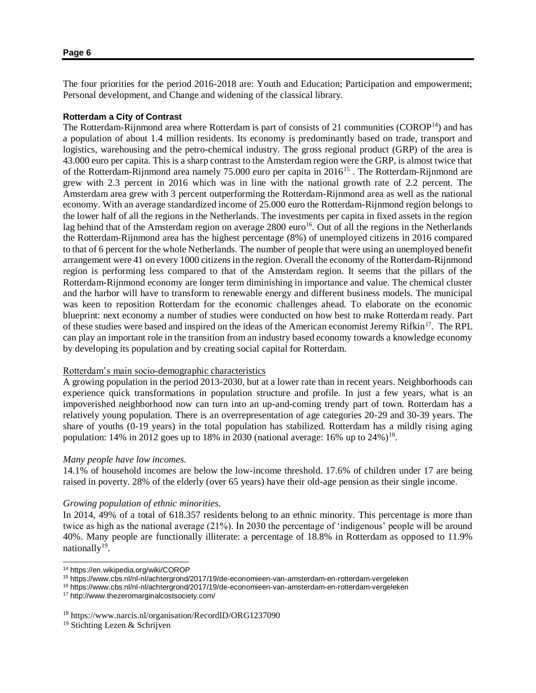The four priorities for the period 2016-2018 are: Youth and Education; Participation and empowerment; Personal development, and Change and widening of the classical library.

## **Rotterdam a City of Contrast**

The Rotterdam-Rijnmond area where Rotterdam is part of consists of 21 communities (COROP<sup>14</sup>) and has a population of about 1.4 million residents. Its economy is predominantly based on trade, transport and logistics, warehousing and the petro-chemical industry. The gross regional product (GRP) of the area is 43.000 euro per capita. This is a sharp contrast to the Amsterdam region were the GRP, is almost twice that of the Rotterdam-Rijnmond area namely 75.000 euro per capita in 2016<sup>15</sup>. The Rotterdam-Rijnmond are grew with 2.3 percent in 2016 which was in line with the national growth rate of 2.2 percent. The Amsterdam area grew with 3 percent outperforming the Rotterdam-Rijnmond area as well as the national economy. With an average standardized income of 25.000 euro the Rotterdam-Rijnmond region belongs to the lower half of all the regions in the Netherlands. The investments per capita in fixed assets in the region lag behind that of the Amsterdam region on average 2800 euro<sup>16</sup>. Out of all the regions in the Netherlands the Rotterdam-Rijnmond area has the highest percentage (8%) of unemployed citizens in 2016 compared to that of 6 percent for the whole Netherlands. The number of people that were using an unemployed benefit arrangement were 41 on every 1000 citizens in the region. Overall the economy of the Rotterdam-Rijnmond region is performing less compared to that of the Amsterdam region. It seems that the pillars of the Rotterdam-Rijnmond economy are longer term diminishing in importance and value. The chemical cluster and the harbor will have to transform to renewable energy and different business models. The municipal was keen to reposition Rotterdam for the economic challenges ahead. To elaborate on the economic blueprint: next economy a number of studies were conducted on how best to make Rotterdam ready. Part of these studies were based and inspired on the ideas of the American economist Jeremy Rifkin<sup>17</sup>. The RPL can play an important role in the transition from an industry based economy towards a knowledge economy by developing its population and by creating social capital for Rotterdam.

## Rotterdam's main socio-demographic characteristics

A growing population in the period 2013-2030, but at a lower rate than in recent years. Neighborhoods can experience quick transformations in population structure and profile. In just a few years, what is an impoverished neighborhood now can turn into an up-and-coming trendy part of town. Rotterdam has a relatively young population. There is an overrepresentation of age categories 20-29 and 30-39 years. The share of youths (0-19 years) in the total population has stabilized. Rotterdam has a mildly rising aging population: 14% in 2012 goes up to 18% in 2030 (national average: 16% up to  $24\%)^{18}$ .

## *Many people have low incomes.*

14.1% of household incomes are below the low-income threshold. 17.6% of children under 17 are being raised in poverty. 28% of the elderly (over 65 years) have their old-age pension as their single income.

## *Growing population of ethnic minorities.*

In 2014, 49% of a total of 618.357 residents belong to an ethnic minority. This percentage is more than twice as high as the national average (21%). In 2030 the percentage of 'indigenous' people will be around 40%. Many people are functionally illiterate: a percentage of 18.8% in Rotterdam as opposed to 11.9% nationally<sup>19</sup>.

l

<sup>14</sup> https://en.wikipedia.org/wiki/COROP

<sup>15</sup> <https://www.cbs.nl/nl-nl/achtergrond/2017/19/de-economieen-van-amsterdam-en-rotterdam-vergeleken>

<sup>16</sup> https://www.cbs.nl/nl-nl/achtergrond/2017/19/de-economieen-van-amsterdam-en-rotterdam-vergeleken

<sup>17</sup> <http://www.thezeromarginalcostsociety.com/>

<sup>18</sup> https://www.narcis.nl/organisation/RecordID/ORG1237090

<sup>19</sup> Stichting Lezen & Schrijven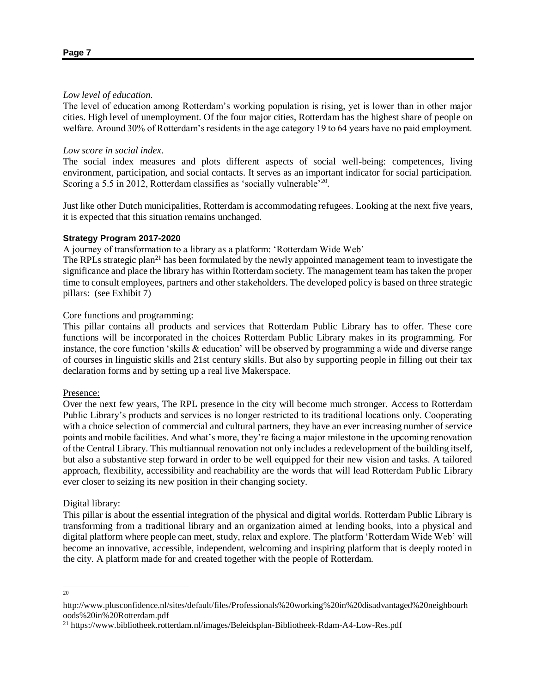## *Low level of education.*

The level of education among Rotterdam's working population is rising, yet is lower than in other major cities. High level of unemployment. Of the four major cities, Rotterdam has the highest share of people on welfare. Around 30% of Rotterdam's residents in the age category 19 to 64 years have no paid employment.

## *Low score in social index.*

The social index measures and plots different aspects of social well-being: competences, living environment, participation, and social contacts. It serves as an important indicator for social participation. Scoring a 5.5 in 2012, Rotterdam classifies as 'socially vulnerable'<sup>20</sup>.

Just like other Dutch municipalities, Rotterdam is accommodating refugees. Looking at the next five years, it is expected that this situation remains unchanged.

## **Strategy Program 2017-2020**

A journey of transformation to a library as a platform: 'Rotterdam Wide Web'

The RPLs strategic plan<sup>21</sup> has been formulated by the newly appointed management team to investigate the significance and place the library has within Rotterdam society. The management team has taken the proper time to consult employees, partners and other stakeholders. The developed policy is based on three strategic pillars: (see Exhibit 7)

## Core functions and programming:

This pillar contains all products and services that Rotterdam Public Library has to offer. These core functions will be incorporated in the choices Rotterdam Public Library makes in its programming. For instance, the core function 'skills & education' will be observed by programming a wide and diverse range of courses in linguistic skills and 21st century skills. But also by supporting people in filling out their tax declaration forms and by setting up a real live Makerspace.

## Presence:

Over the next few years, The RPL presence in the city will become much stronger. Access to Rotterdam Public Library's products and services is no longer restricted to its traditional locations only. Cooperating with a choice selection of commercial and cultural partners, they have an ever increasing number of service points and mobile facilities. And what's more, they're facing a major milestone in the upcoming renovation of the Central Library. This multiannual renovation not only includes a redevelopment of the building itself, but also a substantive step forward in order to be well equipped for their new vision and tasks. A tailored approach, flexibility, accessibility and reachability are the words that will lead Rotterdam Public Library ever closer to seizing its new position in their changing society.

## Digital library:

This pillar is about the essential integration of the physical and digital worlds. Rotterdam Public Library is transforming from a traditional library and an organization aimed at lending books, into a physical and digital platform where people can meet, study, relax and explore. The platform 'Rotterdam Wide Web' will become an innovative, accessible, independent, welcoming and inspiring platform that is deeply rooted in the city. A platform made for and created together with the people of Rotterdam.

 $\overline{\phantom{a}}$ 20

http://www.plusconfidence.nl/sites/default/files/Professionals%20working%20in%20disadvantaged%20neighbourh oods%20in%20Rotterdam.pdf

<sup>21</sup> https://www.bibliotheek.rotterdam.nl/images/Beleidsplan-Bibliotheek-Rdam-A4-Low-Res.pdf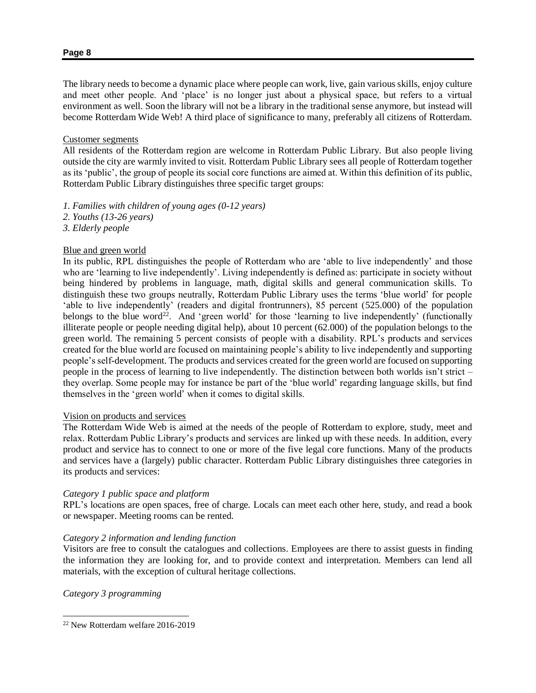The library needs to become a dynamic place where people can work, live, gain various skills, enjoy culture and meet other people. And 'place' is no longer just about a physical space, but refers to a virtual environment as well. Soon the library will not be a library in the traditional sense anymore, but instead will become Rotterdam Wide Web! A third place of significance to many, preferably all citizens of Rotterdam.

## Customer segments

All residents of the Rotterdam region are welcome in Rotterdam Public Library. But also people living outside the city are warmly invited to visit. Rotterdam Public Library sees all people of Rotterdam together as its 'public', the group of people its social core functions are aimed at. Within this definition of its public, Rotterdam Public Library distinguishes three specific target groups:

- *1. Families with children of young ages (0-12 years)*
- *2. Youths (13-26 years)*
- *3. Elderly people*

## Blue and green world

In its public, RPL distinguishes the people of Rotterdam who are 'able to live independently' and those who are 'learning to live independently'. Living independently is defined as: participate in society without being hindered by problems in language, math, digital skills and general communication skills. To distinguish these two groups neutrally, Rotterdam Public Library uses the terms 'blue world' for people 'able to live independently' (readers and digital frontrunners), 85 percent (525.000) of the population belongs to the blue word<sup>22</sup>. And 'green world' for those 'learning to live independently' (functionally illiterate people or people needing digital help), about 10 percent (62.000) of the population belongs to the green world. The remaining 5 percent consists of people with a disability. RPL's products and services created for the blue world are focused on maintaining people's ability to live independently and supporting people's self-development. The products and services created for the green world are focused on supporting people in the process of learning to live independently. The distinction between both worlds isn't strict – they overlap. Some people may for instance be part of the 'blue world' regarding language skills, but find themselves in the 'green world' when it comes to digital skills.

## Vision on products and services

The Rotterdam Wide Web is aimed at the needs of the people of Rotterdam to explore, study, meet and relax. Rotterdam Public Library's products and services are linked up with these needs. In addition, every product and service has to connect to one or more of the five legal core functions. Many of the products and services have a (largely) public character. Rotterdam Public Library distinguishes three categories in its products and services:

## *Category 1 public space and platform*

RPL's locations are open spaces, free of charge. Locals can meet each other here, study, and read a book or newspaper. Meeting rooms can be rented.

## *Category 2 information and lending function*

Visitors are free to consult the catalogues and collections. Employees are there to assist guests in finding the information they are looking for, and to provide context and interpretation. Members can lend all materials, with the exception of cultural heritage collections.

*Category 3 programming*

 $\overline{a}$ 

<sup>22</sup> New Rotterdam welfare 2016-2019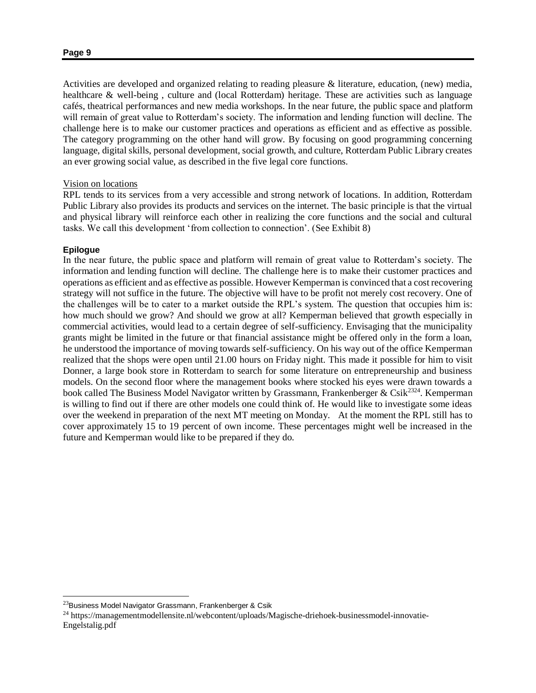Activities are developed and organized relating to reading pleasure & literature, education, (new) media, healthcare & well-being , culture and (local Rotterdam) heritage. These are activities such as language cafés, theatrical performances and new media workshops. In the near future, the public space and platform will remain of great value to Rotterdam's society. The information and lending function will decline. The challenge here is to make our customer practices and operations as efficient and as effective as possible. The category programming on the other hand will grow. By focusing on good programming concerning language, digital skills, personal development, social growth, and culture, Rotterdam Public Library creates an ever growing social value, as described in the five legal core functions.

## Vision on locations

RPL tends to its services from a very accessible and strong network of locations. In addition, Rotterdam Public Library also provides its products and services on the internet. The basic principle is that the virtual and physical library will reinforce each other in realizing the core functions and the social and cultural tasks. We call this development 'from collection to connection'. (See Exhibit 8)

### **Epilogue**

l

In the near future, the public space and platform will remain of great value to Rotterdam's society. The information and lending function will decline. The challenge here is to make their customer practices and operations as efficient and as effective as possible. However Kemperman is convinced that a cost recovering strategy will not suffice in the future. The objective will have to be profit not merely cost recovery. One of the challenges will be to cater to a market outside the RPL's system. The question that occupies him is: how much should we grow? And should we grow at all? Kemperman believed that growth especially in commercial activities, would lead to a certain degree of self-sufficiency. Envisaging that the municipality grants might be limited in the future or that financial assistance might be offered only in the form a loan, he understood the importance of moving towards self-sufficiency. On his way out of the office Kemperman realized that the shops were open until 21.00 hours on Friday night. This made it possible for him to visit Donner, a large book store in Rotterdam to search for some literature on entrepreneurship and business models. On the second floor where the management books where stocked his eyes were drawn towards a book called The Business Model Navigator written by Grassmann, Frankenberger & Csik<sup>2324</sup>. Kemperman is willing to find out if there are other models one could think of. He would like to investigate some ideas over the weekend in preparation of the next MT meeting on Monday. At the moment the RPL still has to cover approximately 15 to 19 percent of own income. These percentages might well be increased in the future and Kemperman would like to be prepared if they do.

<sup>&</sup>lt;sup>23</sup>Business Model Navigator Grassmann, Frankenberger & Csik

<sup>24</sup> https://managementmodellensite.nl/webcontent/uploads/Magische-driehoek-businessmodel-innovatie-Engelstalig.pdf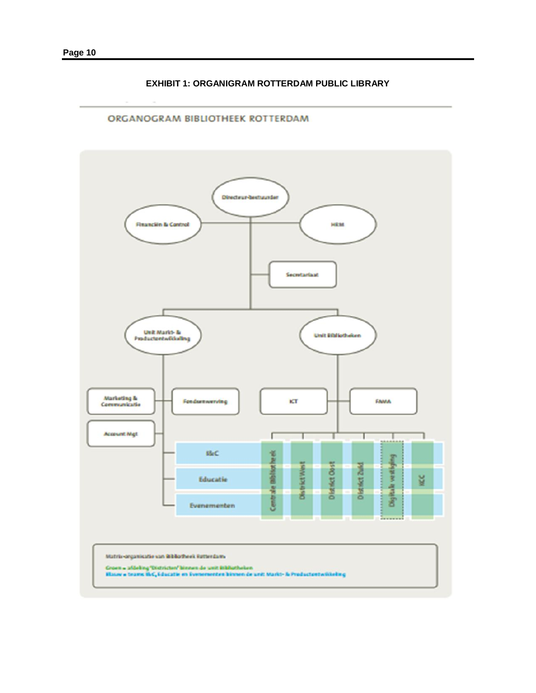## **EXHIBIT 1: ORGANIGRAM ROTTERDAM PUBLIC LIBRARY**

# ORGANOGRAM BIBLIOTHEEK ROTTERDAM Directeur-bestuunder **Financièn & Cantrol HEM** Secretariast Unit Markt- & Unit Effiliotheken Productontwikkeling Marketing &<br>Communicatio kТ FAMA Fondamewerving **Account Mgt** ľ ı т tãc. Centrale Bibliotheek Digitale vestiging **DistrictViest** District Oost District Zuid KC Educatie Evenementen Matrix-organisatie van Bibliotheek Retterdams Groen a afdeling "Districten" kinnen de unit Bibliotheken<br>Blauw a teams BLC, Educatie en Evenementen binnen de unit Markt- & Productentwikkeling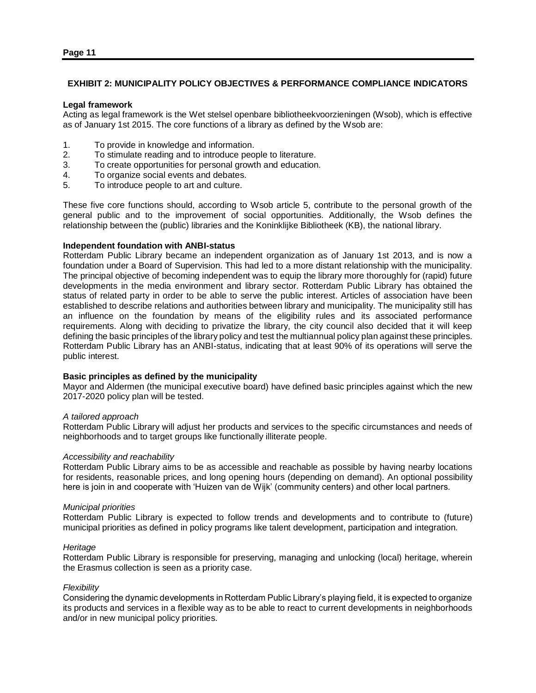## **EXHIBIT 2: MUNICIPALITY POLICY OBJECTIVES & PERFORMANCE COMPLIANCE INDICATORS**

### **Legal framework**

Acting as legal framework is the Wet stelsel openbare bibliotheekvoorzieningen (Wsob), which is effective as of January 1st 2015. The core functions of a library as defined by the Wsob are:

- 1. To provide in knowledge and information.
- 2. To stimulate reading and to introduce people to literature.
- 3. To create opportunities for personal growth and education.
- 4. To organize social events and debates.
- 5. To introduce people to art and culture.

These five core functions should, according to Wsob article 5, contribute to the personal growth of the general public and to the improvement of social opportunities. Additionally, the Wsob defines the relationship between the (public) libraries and the Koninklijke Bibliotheek (KB), the national library.

## **Independent foundation with ANBI-status**

Rotterdam Public Library became an independent organization as of January 1st 2013, and is now a foundation under a Board of Supervision. This had led to a more distant relationship with the municipality. The principal objective of becoming independent was to equip the library more thoroughly for (rapid) future developments in the media environment and library sector. Rotterdam Public Library has obtained the status of related party in order to be able to serve the public interest. Articles of association have been established to describe relations and authorities between library and municipality. The municipality still has an influence on the foundation by means of the eligibility rules and its associated performance requirements. Along with deciding to privatize the library, the city council also decided that it will keep defining the basic principles of the library policy and test the multiannual policy plan against these principles. Rotterdam Public Library has an ANBI-status, indicating that at least 90% of its operations will serve the public interest.

## **Basic principles as defined by the municipality**

Mayor and Aldermen (the municipal executive board) have defined basic principles against which the new 2017-2020 policy plan will be tested.

## *A tailored approach*

Rotterdam Public Library will adjust her products and services to the specific circumstances and needs of neighborhoods and to target groups like functionally illiterate people.

## *Accessibility and reachability*

Rotterdam Public Library aims to be as accessible and reachable as possible by having nearby locations for residents, reasonable prices, and long opening hours (depending on demand). An optional possibility here is join in and cooperate with 'Huizen van de Wijk' (community centers) and other local partners.

## *Municipal priorities*

Rotterdam Public Library is expected to follow trends and developments and to contribute to (future) municipal priorities as defined in policy programs like talent development, participation and integration.

## *Heritage*

Rotterdam Public Library is responsible for preserving, managing and unlocking (local) heritage, wherein the Erasmus collection is seen as a priority case.

## *Flexibility*

Considering the dynamic developments in Rotterdam Public Library's playing field, it is expected to organize its products and services in a flexible way as to be able to react to current developments in neighborhoods and/or in new municipal policy priorities.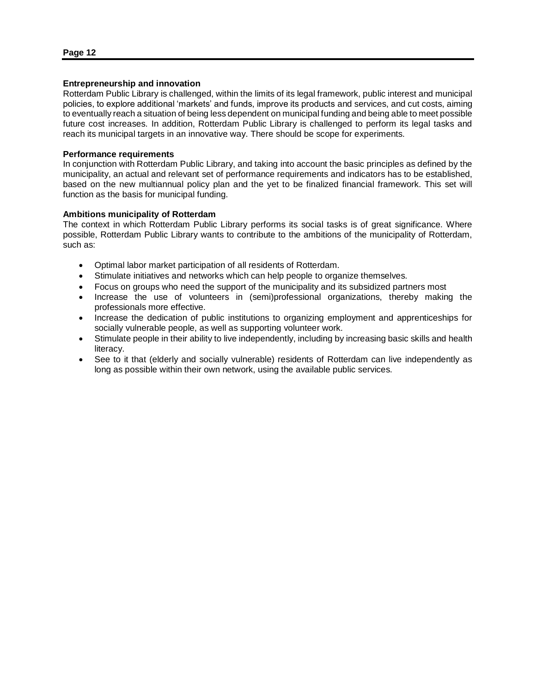## **Entrepreneurship and innovation**

Rotterdam Public Library is challenged, within the limits of its legal framework, public interest and municipal policies, to explore additional 'markets' and funds, improve its products and services, and cut costs, aiming to eventually reach a situation of being less dependent on municipal funding and being able to meet possible future cost increases. In addition, Rotterdam Public Library is challenged to perform its legal tasks and reach its municipal targets in an innovative way. There should be scope for experiments.

### **Performance requirements**

In conjunction with Rotterdam Public Library, and taking into account the basic principles as defined by the municipality, an actual and relevant set of performance requirements and indicators has to be established, based on the new multiannual policy plan and the yet to be finalized financial framework. This set will function as the basis for municipal funding.

### **Ambitions municipality of Rotterdam**

The context in which Rotterdam Public Library performs its social tasks is of great significance. Where possible, Rotterdam Public Library wants to contribute to the ambitions of the municipality of Rotterdam, such as:

- Optimal labor market participation of all residents of Rotterdam.
- Stimulate initiatives and networks which can help people to organize themselves.
- Focus on groups who need the support of the municipality and its subsidized partners most
- Increase the use of volunteers in (semi)professional organizations, thereby making the professionals more effective.
- Increase the dedication of public institutions to organizing employment and apprenticeships for socially vulnerable people, as well as supporting volunteer work.
- Stimulate people in their ability to live independently, including by increasing basic skills and health literacy.
- See to it that (elderly and socially vulnerable) residents of Rotterdam can live independently as long as possible within their own network, using the available public services.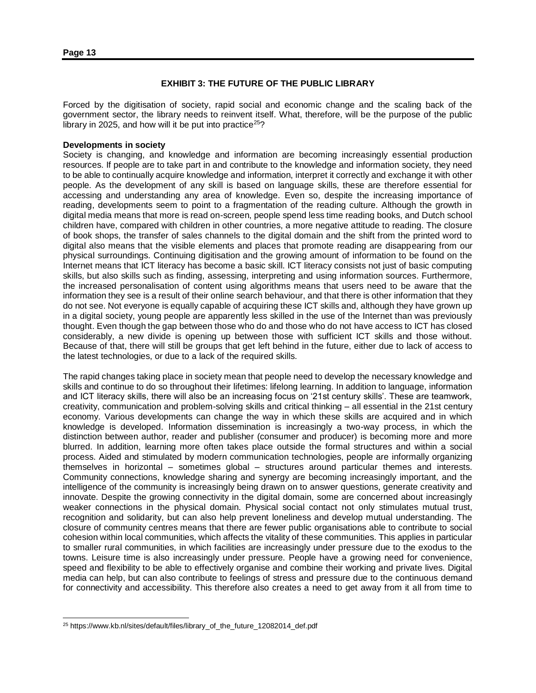## **EXHIBIT 3: THE FUTURE OF THE PUBLIC LIBRARY**

Forced by the digitisation of society, rapid social and economic change and the scaling back of the government sector, the library needs to reinvent itself. What, therefore, will be the purpose of the public library in 2025, and how will it be put into practice<sup>25</sup>?

## **Developments in society**

Society is changing, and knowledge and information are becoming increasingly essential production resources. If people are to take part in and contribute to the knowledge and information society, they need to be able to continually acquire knowledge and information, interpret it correctly and exchange it with other people. As the development of any skill is based on language skills, these are therefore essential for accessing and understanding any area of knowledge. Even so, despite the increasing importance of reading, developments seem to point to a fragmentation of the reading culture. Although the growth in digital media means that more is read on-screen, people spend less time reading books, and Dutch school children have, compared with children in other countries, a more negative attitude to reading. The closure of book shops, the transfer of sales channels to the digital domain and the shift from the printed word to digital also means that the visible elements and places that promote reading are disappearing from our physical surroundings. Continuing digitisation and the growing amount of information to be found on the Internet means that ICT literacy has become a basic skill. ICT literacy consists not just of basic computing skills, but also skills such as finding, assessing, interpreting and using information sources. Furthermore, the increased personalisation of content using algorithms means that users need to be aware that the information they see is a result of their online search behaviour, and that there is other information that they do not see. Not everyone is equally capable of acquiring these ICT skills and, although they have grown up in a digital society, young people are apparently less skilled in the use of the Internet than was previously thought. Even though the gap between those who do and those who do not have access to ICT has closed considerably, a new divide is opening up between those with sufficient ICT skills and those without. Because of that, there will still be groups that get left behind in the future, either due to lack of access to the latest technologies, or due to a lack of the required skills.

The rapid changes taking place in society mean that people need to develop the necessary knowledge and skills and continue to do so throughout their lifetimes: lifelong learning. In addition to language, information and ICT literacy skills, there will also be an increasing focus on '21st century skills'. These are teamwork, creativity, communication and problem-solving skills and critical thinking – all essential in the 21st century economy. Various developments can change the way in which these skills are acquired and in which knowledge is developed. Information dissemination is increasingly a two-way process, in which the distinction between author, reader and publisher (consumer and producer) is becoming more and more blurred. In addition, learning more often takes place outside the formal structures and within a social process. Aided and stimulated by modern communication technologies, people are informally organizing themselves in horizontal – sometimes global – structures around particular themes and interests. Community connections, knowledge sharing and synergy are becoming increasingly important, and the intelligence of the community is increasingly being drawn on to answer questions, generate creativity and innovate. Despite the growing connectivity in the digital domain, some are concerned about increasingly weaker connections in the physical domain. Physical social contact not only stimulates mutual trust, recognition and solidarity, but can also help prevent loneliness and develop mutual understanding. The closure of community centres means that there are fewer public organisations able to contribute to social cohesion within local communities, which affects the vitality of these communities. This applies in particular to smaller rural communities, in which facilities are increasingly under pressure due to the exodus to the towns. Leisure time is also increasingly under pressure. People have a growing need for convenience, speed and flexibility to be able to effectively organise and combine their working and private lives. Digital media can help, but can also contribute to feelings of stress and pressure due to the continuous demand for connectivity and accessibility. This therefore also creates a need to get away from it all from time to

l

<sup>25</sup> https://www.kb.nl/sites/default/files/library\_of\_the\_future\_12082014\_def.pdf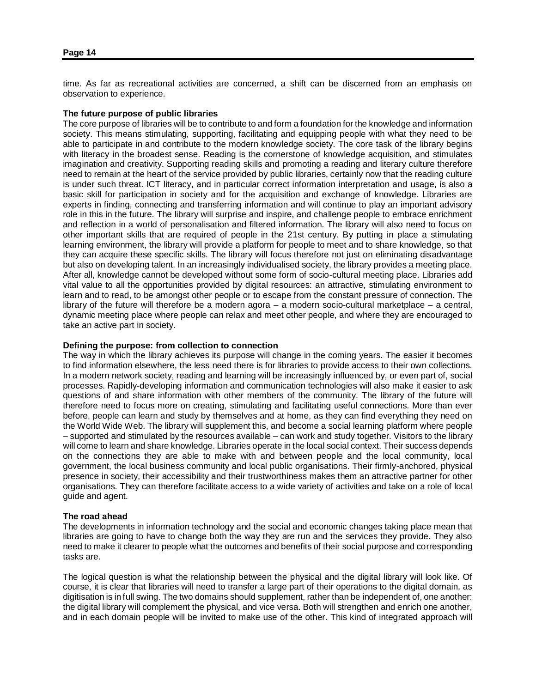time. As far as recreational activities are concerned, a shift can be discerned from an emphasis on observation to experience.

### **The future purpose of public libraries**

The core purpose of libraries will be to contribute to and form a foundation for the knowledge and information society. This means stimulating, supporting, facilitating and equipping people with what they need to be able to participate in and contribute to the modern knowledge society. The core task of the library begins with literacy in the broadest sense. Reading is the cornerstone of knowledge acquisition, and stimulates imagination and creativity. Supporting reading skills and promoting a reading and literary culture therefore need to remain at the heart of the service provided by public libraries, certainly now that the reading culture is under such threat. ICT literacy, and in particular correct information interpretation and usage, is also a basic skill for participation in society and for the acquisition and exchange of knowledge. Libraries are experts in finding, connecting and transferring information and will continue to play an important advisory role in this in the future. The library will surprise and inspire, and challenge people to embrace enrichment and reflection in a world of personalisation and filtered information. The library will also need to focus on other important skills that are required of people in the 21st century. By putting in place a stimulating learning environment, the library will provide a platform for people to meet and to share knowledge, so that they can acquire these specific skills. The library will focus therefore not just on eliminating disadvantage but also on developing talent. In an increasingly individualised society, the library provides a meeting place. After all, knowledge cannot be developed without some form of socio-cultural meeting place. Libraries add vital value to all the opportunities provided by digital resources: an attractive, stimulating environment to learn and to read, to be amongst other people or to escape from the constant pressure of connection. The library of the future will therefore be a modern agora – a modern socio-cultural marketplace – a central, dynamic meeting place where people can relax and meet other people, and where they are encouraged to take an active part in society.

### **Defining the purpose: from collection to connection**

The way in which the library achieves its purpose will change in the coming years. The easier it becomes to find information elsewhere, the less need there is for libraries to provide access to their own collections. In a modern network society, reading and learning will be increasingly influenced by, or even part of, social processes. Rapidly-developing information and communication technologies will also make it easier to ask questions of and share information with other members of the community. The library of the future will therefore need to focus more on creating, stimulating and facilitating useful connections. More than ever before, people can learn and study by themselves and at home, as they can find everything they need on the World Wide Web. The library will supplement this, and become a social learning platform where people – supported and stimulated by the resources available – can work and study together. Visitors to the library will come to learn and share knowledge. Libraries operate in the local social context. Their success depends on the connections they are able to make with and between people and the local community, local government, the local business community and local public organisations. Their firmly-anchored, physical presence in society, their accessibility and their trustworthiness makes them an attractive partner for other organisations. They can therefore facilitate access to a wide variety of activities and take on a role of local guide and agent.

### **The road ahead**

The developments in information technology and the social and economic changes taking place mean that libraries are going to have to change both the way they are run and the services they provide. They also need to make it clearer to people what the outcomes and benefits of their social purpose and corresponding tasks are.

The logical question is what the relationship between the physical and the digital library will look like. Of course, it is clear that libraries will need to transfer a large part of their operations to the digital domain, as digitisation is in full swing. The two domains should supplement, rather than be independent of, one another: the digital library will complement the physical, and vice versa. Both will strengthen and enrich one another, and in each domain people will be invited to make use of the other. This kind of integrated approach will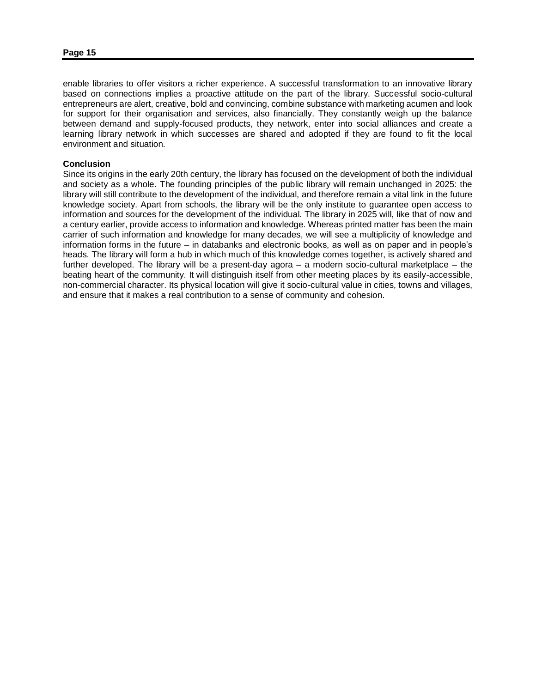enable libraries to offer visitors a richer experience. A successful transformation to an innovative library based on connections implies a proactive attitude on the part of the library. Successful socio-cultural entrepreneurs are alert, creative, bold and convincing, combine substance with marketing acumen and look for support for their organisation and services, also financially. They constantly weigh up the balance between demand and supply-focused products, they network, enter into social alliances and create a learning library network in which successes are shared and adopted if they are found to fit the local environment and situation.

### **Conclusion**

Since its origins in the early 20th century, the library has focused on the development of both the individual and society as a whole. The founding principles of the public library will remain unchanged in 2025: the library will still contribute to the development of the individual, and therefore remain a vital link in the future knowledge society. Apart from schools, the library will be the only institute to guarantee open access to information and sources for the development of the individual. The library in 2025 will, like that of now and a century earlier, provide access to information and knowledge. Whereas printed matter has been the main carrier of such information and knowledge for many decades, we will see a multiplicity of knowledge and information forms in the future – in databanks and electronic books, as well as on paper and in people's heads. The library will form a hub in which much of this knowledge comes together, is actively shared and further developed. The library will be a present-day agora – a modern socio-cultural marketplace – the beating heart of the community. It will distinguish itself from other meeting places by its easily-accessible, non-commercial character. Its physical location will give it socio-cultural value in cities, towns and villages, and ensure that it makes a real contribution to a sense of community and cohesion.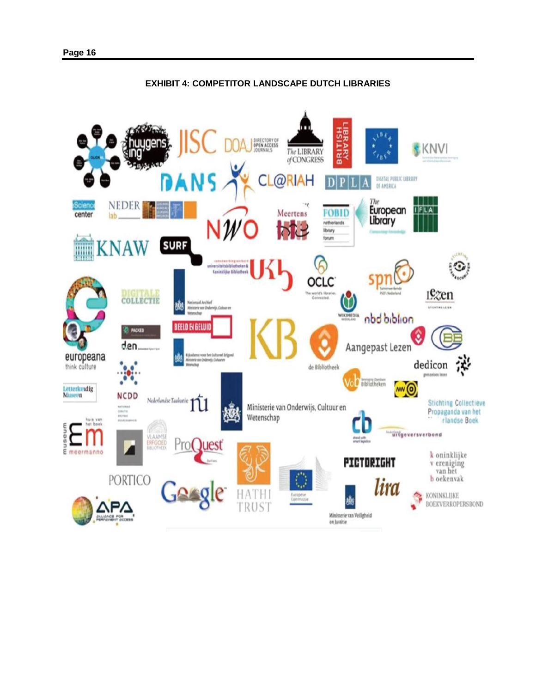

## **EXHIBIT 4: COMPETITOR LANDSCAPE DUTCH LIBRARIES**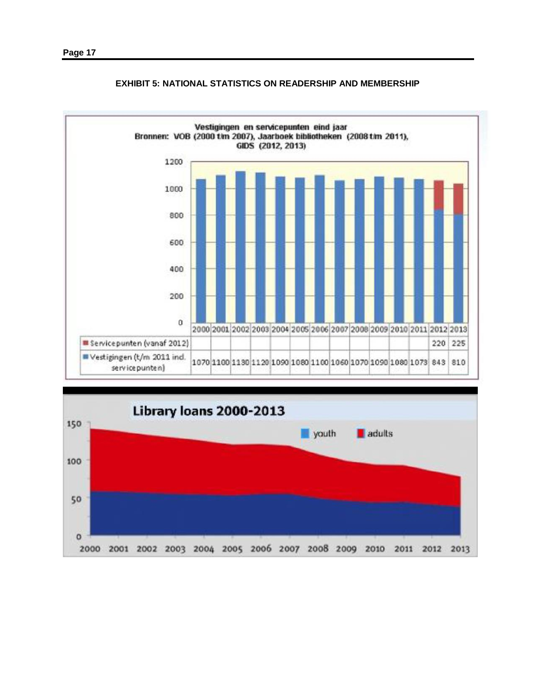

## **EXHIBIT 5: NATIONAL STATISTICS ON READERSHIP AND MEMBERSHIP**

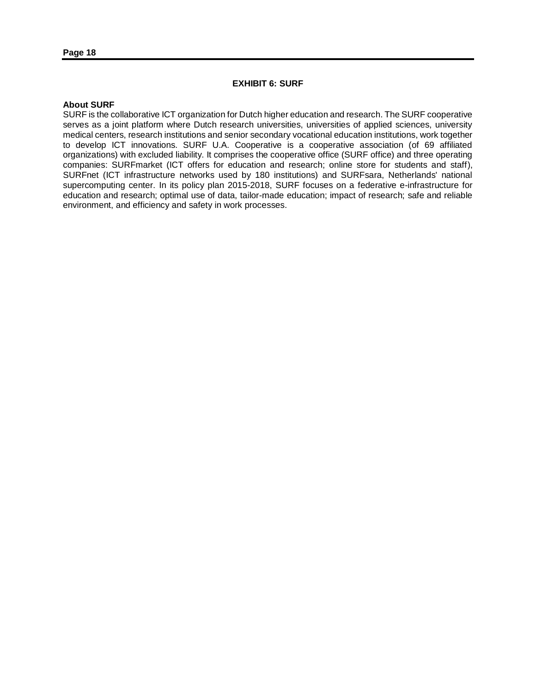## **EXHIBIT 6: SURF**

### **About SURF**

SURF is the collaborative ICT organization for Dutch higher education and research. The SURF cooperative serves as a joint platform where Dutch research universities, universities of applied sciences, university medical centers, research institutions and senior secondary vocational education institutions, work together to develop ICT innovations. SURF U.A. Cooperative is a cooperative association (of 69 affiliated organizations) with excluded liability. It comprises the cooperative office (SURF office) and three operating companies: SURFmarket (ICT offers for education and research; online store for students and staff), SURFnet (ICT infrastructure networks used by 180 institutions) and SURFsara, Netherlands' national supercomputing center. In its policy plan 2015-2018, SURF focuses on a federative e-infrastructure for education and research; optimal use of data, tailor-made education; impact of research; safe and reliable environment, and efficiency and safety in work processes.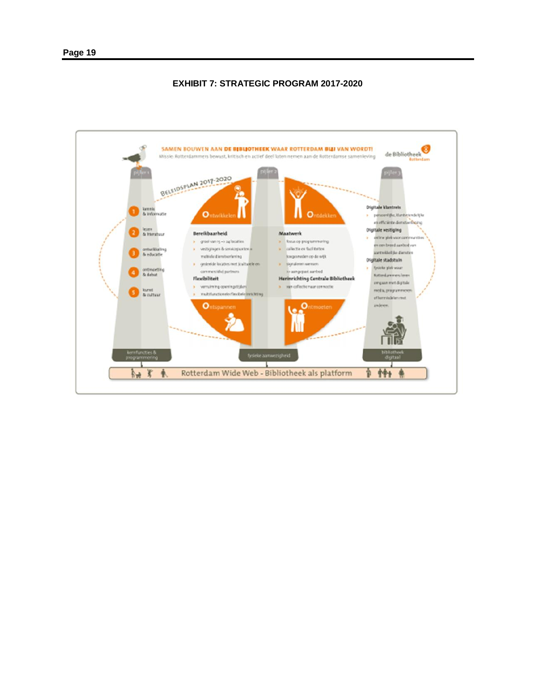## **EXHIBIT 7: STRATEGIC PROGRAM 2017-2020**

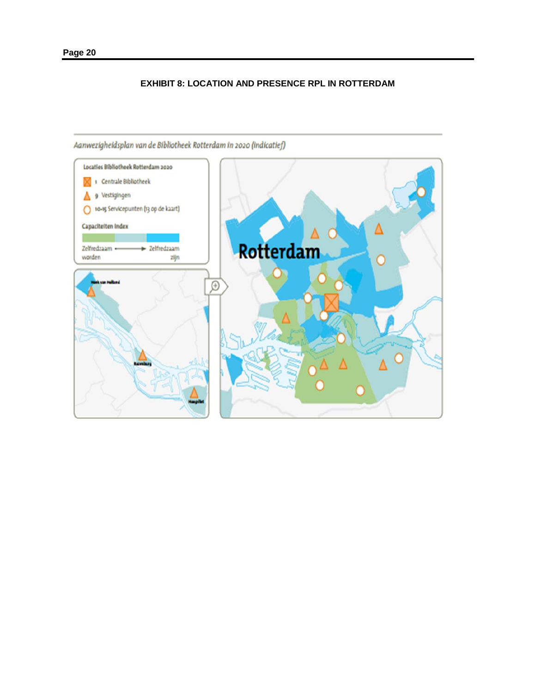## **EXHIBIT 8: LOCATION AND PRESENCE RPL IN ROTTERDAM**



Aanwezigheidsplan van de Bibliotheek Rotterdam in 2020 (indicatief)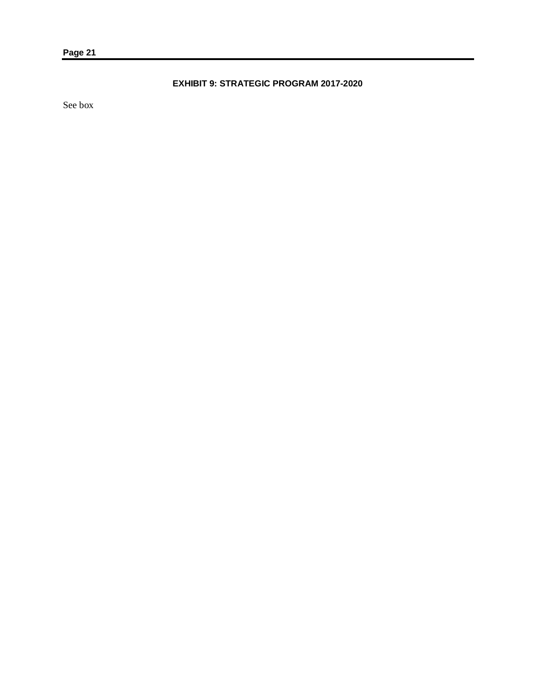# **EXHIBIT 9: STRATEGIC PROGRAM 2017-2020**

See box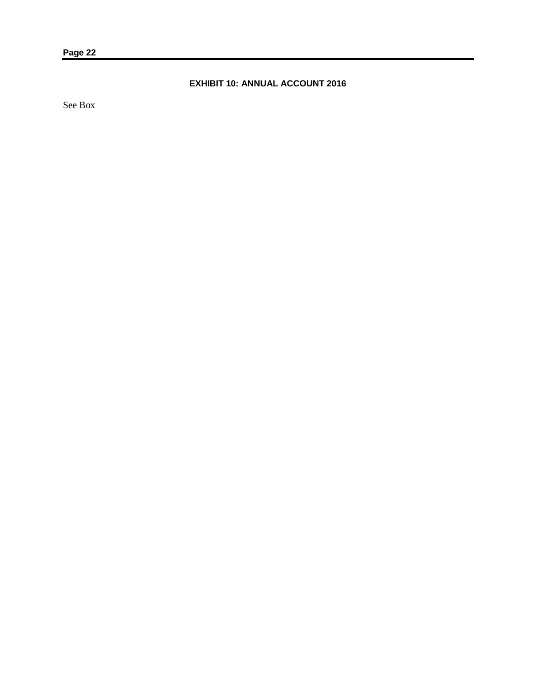# **EXHIBIT 10: ANNUAL ACCOUNT 2016**

See Box